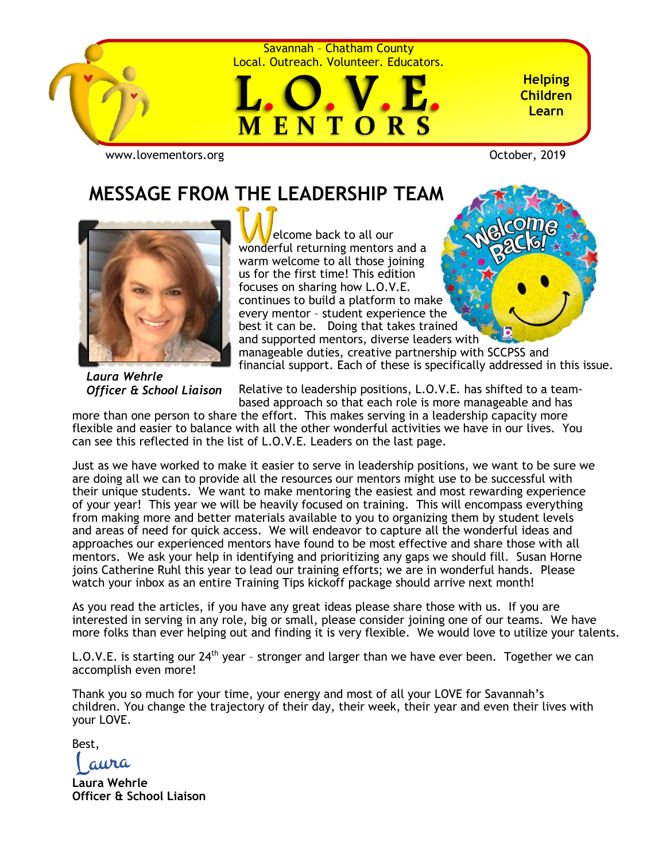

Savannah – Chatham County Local. Outreach. Volunteer. Educators.



**Helping Children Learn**

[www.lovementors.org](http://www.lovementors.org/)<br>
October, 2019

# **MESSAGE FROM THE LEADERSHIP TEAM**



 elcome back to all our wonderful returning mentors and a warm welcome to all those joining us for the first time! This edition focuses on sharing how L.O.V.E. continues to build a platform to make every mentor – student experience the best it can be. Doing that takes trained and supported mentors, diverse leaders with manageable duties, creative partnership with SCCPSS and financial support. Each of these is specifically addressed in this issue.

*Laura Wehrle Officer & School Liaison*

Relative to leadership positions, L.O.V.E. has shifted to a teambased approach so that each role is more manageable and has

more than one person to share the effort. This makes serving in a leadership capacity more flexible and easier to balance with all the other wonderful activities we have in our lives. You can see this reflected in the list of L.O.V.E. Leaders on the last page.

Just as we have worked to make it easier to serve in leadership positions, we want to be sure we are doing all we can to provide all the resources our mentors might use to be successful with their unique students. We want to make mentoring the easiest and most rewarding experience of your year! This year we will be heavily focused on training. This will encompass everything from making more and better materials available to you to organizing them by student levels and areas of need for quick access. We will endeavor to capture all the wonderful ideas and approaches our experienced mentors have found to be most effective and share those with all mentors. We ask your help in identifying and prioritizing any gaps we should fill. Susan Horne joins Catherine Ruhl this year to lead our training efforts; we are in wonderful hands. Please watch your inbox as an entire Training Tips kickoff package should arrive next month!

As you read the articles, if you have any great ideas please share those with us. If you are interested in serving in any role, big or small, please consider joining one of our teams. We have more folks than ever helping out and finding it is very flexible. We would love to utilize your talents.

L.O.V.E. is starting our  $24<sup>th</sup>$  year - stronger and larger than we have ever been. Together we can accomplish even more!

Thank you so much for your time, your energy and most of all your LOVE for Savannah's children. You change the trajectory of their day, their week, their year and even their lives with your LOVE.

Best,

aura

**Laura Wehrle Officer & School Liaison**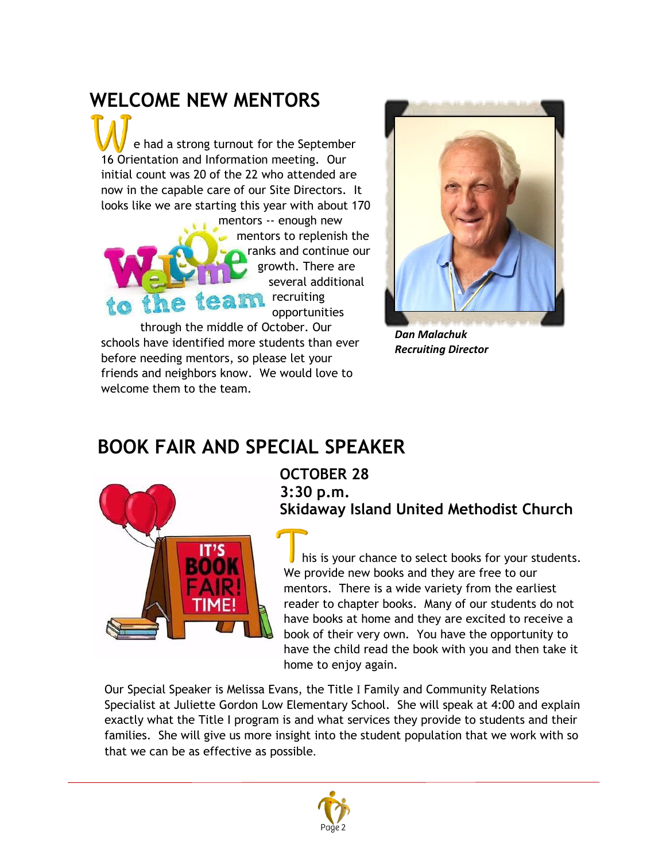# **WELCOME NEW MENTORS**

 e had a strong turnout for the September 16 Orientation and Information meeting. Our initial count was 20 of the 22 who attended are now in the capable care of our Site Directors. It looks like we are starting this year with about 170

mentors -- enough new mentors to replenish the ranks and continue our growth. There are several additional the team recruiting opportunities

*Dan Malachuk Recruiting Director*

through the middle of October. Our schools have identified more students than ever before needing mentors, so please let your friends and neighbors know. We would love to welcome them to the team.

## **BOOK FAIR AND SPECIAL SPEAKER**



#### **OCTOBER 28 3:30 p.m. Skidaway Island United Methodist Church**

 his is your chance to select books for your students. We provide new books and they are free to our mentors. There is a wide variety from the earliest reader to chapter books. Many of our students do not have books at home and they are excited to receive a book of their very own. You have the opportunity to have the child read the book with you and then take it home to enjoy again.

Our Special Speaker is Melissa Evans, the Title I Family and Community Relations Specialist at Juliette Gordon Low Elementary School. She will speak at 4:00 and explain exactly what the Title I program is and what services they provide to students and their families. She will give us more insight into the student population that we work with so that we can be as effective as possible.

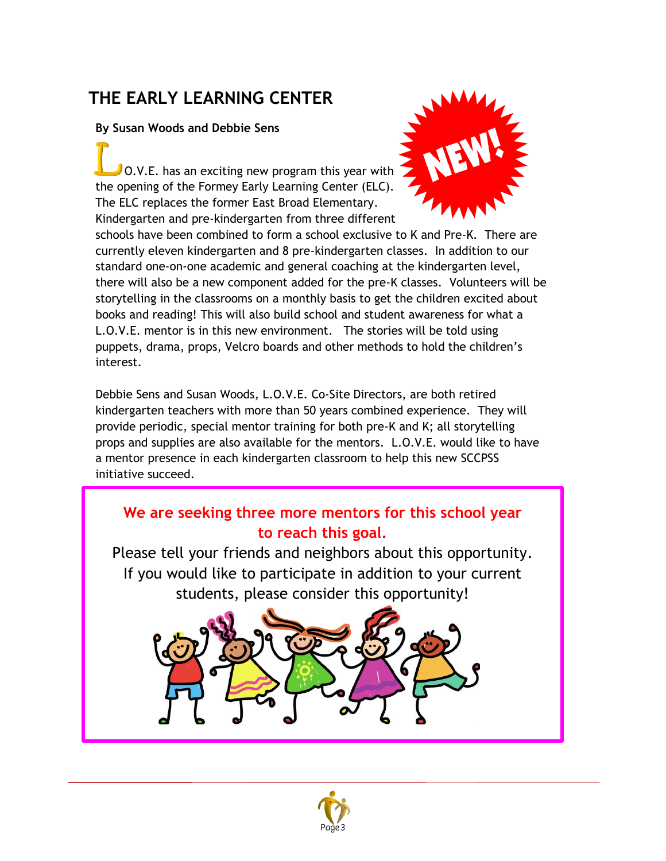## **THE EARLY LEARNING CENTER**

#### **By Susan Woods and Debbie Sens**

 $\sqrt{O(NE)}$ . has an exciting new program this year with the opening of the Formey Early Learning Center (ELC). The ELC replaces the former East Broad Elementary. Kindergarten and pre-kindergarten from three different



schools have been combined to form a school exclusive to K and Pre-K. There are currently eleven kindergarten and 8 pre-kindergarten classes. In addition to our standard one-on-one academic and general coaching at the kindergarten level, there will also be a new component added for the pre-K classes. Volunteers will be storytelling in the classrooms on a monthly basis to get the children excited about books and reading! This will also build school and student awareness for what a L.O.V.E. mentor is in this new environment. The stories will be told using puppets, drama, props, Velcro boards and other methods to hold the children's interest.

Debbie Sens and Susan Woods, L.O.V.E. Co-Site Directors, are both retired kindergarten teachers with more than 50 years combined experience. They will provide periodic, special mentor training for both pre-K and K; all storytelling props and supplies are also available for the mentors. L.O.V.E. would like to have a mentor presence in each kindergarten classroom to help this new SCCPSS initiative succeed.

## **We are seeking three more mentors for this school year to reach this goal.**

Please tell your friends and neighbors about this opportunity. If you would like to participate in addition to your current students, please consider this opportunity!



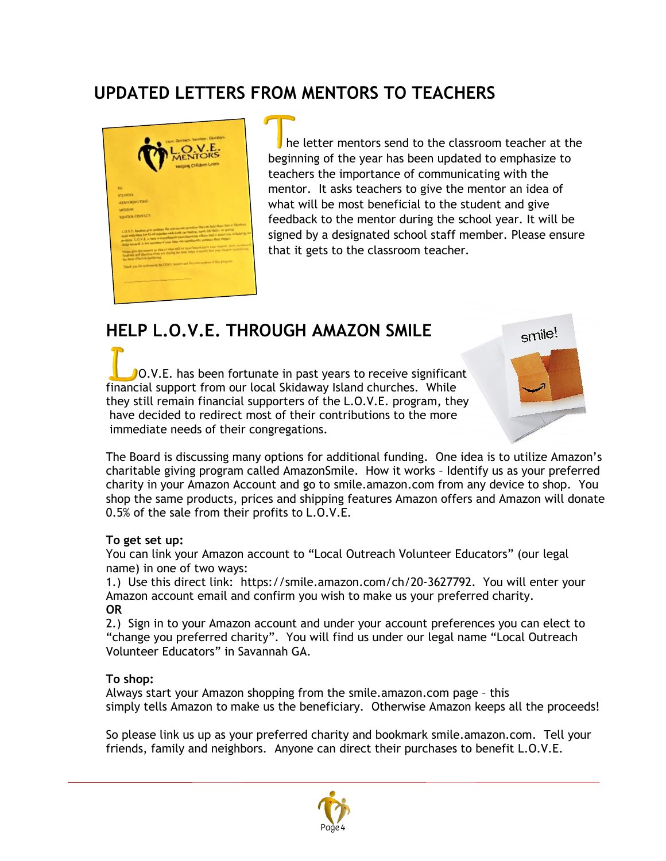### **UPDATED LETTERS FROM MENTORS TO TEACHERS**



he letter mentors send to the classroom teacher at the beginning of the year has been updated to emphasize to teachers the importance of communicating with the mentor. It asks teachers to give the mentor an idea of what will be most beneficial to the student and give feedback to the mentor during the school year. It will be signed by a designated school staff member. Please ensure that it gets to the classroom teacher.

### **HELP L.O.V.E. THROUGH AMAZON SMILE**

**O.V.E.** has been fortunate in past years to receive significant financial support from our local Skidaway Island churches. While they still remain financial supporters of the L.O.V.E. program, they have decided to redirect most of their contributions to the more immediate needs of their congregations.



The Board is discussing many options for additional funding. One idea is to utilize Amazon's charitable giving program called AmazonSmile. How it works – Identify us as your preferred charity in your Amazon Account and go to [smile.amazon.com](http://smile.amazon.com/) from any device to shop. You shop the same products, prices and shipping features Amazon offers and Amazon will donate 0.5% of the sale from their profits to L.O.V.E.

#### **To get set up:**

You can link your Amazon account to "Local Outreach Volunteer Educators" (our legal name) in one of two ways:

1.) Use this direct link: [https://smile.amazon.com/ch/20-3627792.](https://smile.amazon.com/ch/20-3627792) You will enter your Amazon account email and confirm you wish to make us your preferred charity. **OR**

2.) Sign in to your Amazon account and under your account preferences you can elect to "change you preferred charity". You will find us under our legal name "Local Outreach Volunteer Educators" in Savannah GA.

#### **To shop:**

Always start your Amazon shopping from the [smile.amazon.com](http://smile.amazon.com/) page – this simply tells Amazon to make us the beneficiary. Otherwise Amazon keeps all the proceeds!

So please link us up as your preferred charity and bookmark [smile.amazon.com.](http://smile.amazon.com/) Tell your friends, family and neighbors. Anyone can direct their purchases to benefit L.O.V.E.

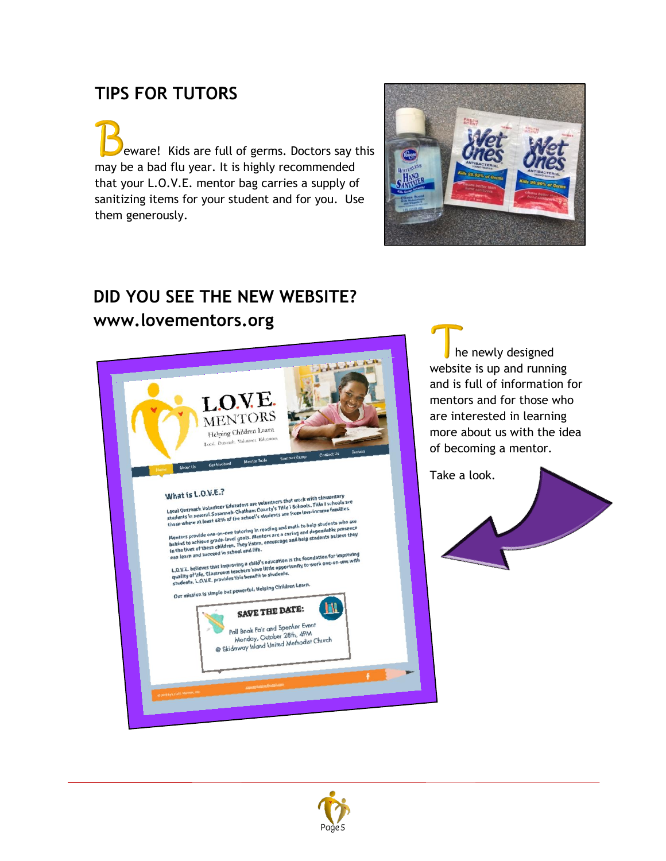### **TIPS FOR TUTORS**

d eware! Kids are full of germs. Doctors say this may be a bad flu year. It is highly recommended that your L.O.V.E. mentor bag carries a supply of sanitizing items for your student and for you. Use them generously.



# **DID YOU SEE THE NEW WEBSITE?**

#### **www.lovementors.org**



 he newly designed website is up and running and is full of information for mentors and for those who are interested in learning more about us with the idea of becoming a mentor.